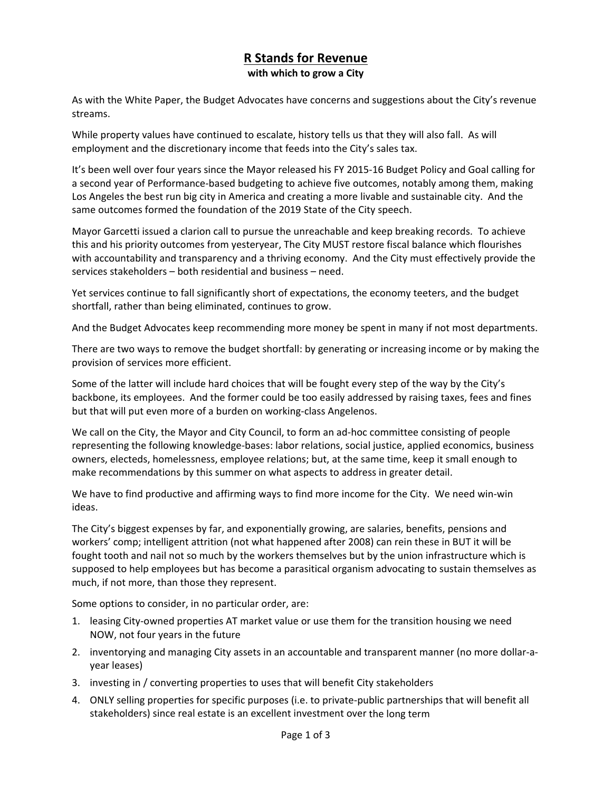## **R Stands for Revenue with which to grow a City**

As with the White Paper, the Budget Advocates have concerns and suggestions about the City's revenue streams.

While property values have continued to escalate, history tells us that they will also fall. As will employment and the discretionary income that feeds into the City's sales tax.

It's been well over four years since the Mayor released his FY 2015‐16 Budget Policy and Goal calling for a second year of Performance-based budgeting to achieve five outcomes, notably among them, making Los Angeles the best run big city in America and creating a more livable and sustainable city. And the same outcomes formed the foundation of the 2019 State of the City speech.

Mayor Garcetti issued a clarion call to pursue the unreachable and keep breaking records. To achieve this and his priority outcomes from yesteryear, The City MUST restore fiscal balance which flourishes with accountability and transparency and a thriving economy. And the City must effectively provide the services stakeholders – both residential and business – need.

Yet services continue to fall significantly short of expectations, the economy teeters, and the budget shortfall, rather than being eliminated, continues to grow.

And the Budget Advocates keep recommending more money be spent in many if not most departments.

There are two ways to remove the budget shortfall: by generating or increasing income or by making the provision of services more efficient.

Some of the latter will include hard choices that will be fought every step of the way by the City's backbone, its employees. And the former could be too easily addressed by raising taxes, fees and fines but that will put even more of a burden on working‐class Angelenos.

We call on the City, the Mayor and City Council, to form an ad-hoc committee consisting of people representing the following knowledge‐bases: labor relations, social justice, applied economics, business owners, electeds, homelessness, employee relations; but, at the same time, keep it small enough to make recommendations by this summer on what aspects to address in greater detail.

We have to find productive and affirming ways to find more income for the City. We need win-win ideas.

The City's biggest expenses by far, and exponentially growing, are salaries, benefits, pensions and workers' comp; intelligent attrition (not what happened after 2008) can rein these in BUT it will be fought tooth and nail not so much by the workers themselves but by the union infrastructure which is supposed to help employees but has become a parasitical organism advocating to sustain themselves as much, if not more, than those they represent.

Some options to consider, in no particular order, are:

- 1. leasing City-owned properties AT market value or use them for the transition housing we need NOW, not four years in the future
- 2. inventorying and managing City assets in an accountable and transparent manner (no more dollar‐a‐ year leases)
- 3. investing in / converting properties to uses that will benefit City stakeholders
- 4. ONLY selling properties for specific purposes (i.e. to private‐public partnerships that will benefit all stakeholders) since real estate is an excellent investment over the long term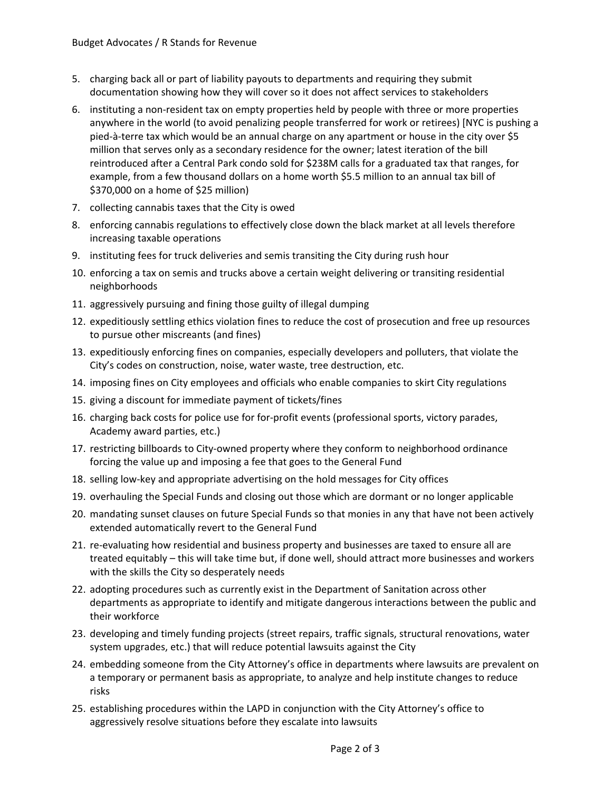- 5. charging back all or part of liability payouts to departments and requiring they submit documentation showing how they will cover so it does not affect services to stakeholders
- 6. instituting a non‐resident tax on empty properties held by people with three or more properties anywhere in the world (to avoid penalizing people transferred for work or retirees) [NYC is pushing a pied‐à‐terre tax which would be an annual charge on any apartment or house in the city over \$5 million that serves only as a secondary residence for the owner; latest iteration of the bill reintroduced after a Central Park condo sold for \$238M calls for a graduated tax that ranges, for example, from a few thousand dollars on a home worth \$5.5 million to an annual tax bill of \$370,000 on a home of \$25 million)
- 7. collecting cannabis taxes that the City is owed
- 8. enforcing cannabis regulations to effectively close down the black market at all levels therefore increasing taxable operations
- 9. instituting fees for truck deliveries and semis transiting the City during rush hour
- 10. enforcing a tax on semis and trucks above a certain weight delivering or transiting residential neighborhoods
- 11. aggressively pursuing and fining those guilty of illegal dumping
- 12. expeditiously settling ethics violation fines to reduce the cost of prosecution and free up resources to pursue other miscreants (and fines)
- 13. expeditiously enforcing fines on companies, especially developers and polluters, that violate the City's codes on construction, noise, water waste, tree destruction, etc.
- 14. imposing fines on City employees and officials who enable companies to skirt City regulations
- 15. giving a discount for immediate payment of tickets/fines
- 16. charging back costs for police use for for-profit events (professional sports, victory parades, Academy award parties, etc.)
- 17. restricting billboards to City‐owned property where they conform to neighborhood ordinance forcing the value up and imposing a fee that goes to the General Fund
- 18. selling low‐key and appropriate advertising on the hold messages for City offices
- 19. overhauling the Special Funds and closing out those which are dormant or no longer applicable
- 20. mandating sunset clauses on future Special Funds so that monies in any that have not been actively extended automatically revert to the General Fund
- 21. re-evaluating how residential and business property and businesses are taxed to ensure all are treated equitably – this will take time but, if done well, should attract more businesses and workers with the skills the City so desperately needs
- 22. adopting procedures such as currently exist in the Department of Sanitation across other departments as appropriate to identify and mitigate dangerous interactions between the public and their workforce
- 23. developing and timely funding projects (street repairs, traffic signals, structural renovations, water system upgrades, etc.) that will reduce potential lawsuits against the City
- 24. embedding someone from the City Attorney's office in departments where lawsuits are prevalent on a temporary or permanent basis as appropriate, to analyze and help institute changes to reduce risks
- 25. establishing procedures within the LAPD in conjunction with the City Attorney's office to aggressively resolve situations before they escalate into lawsuits